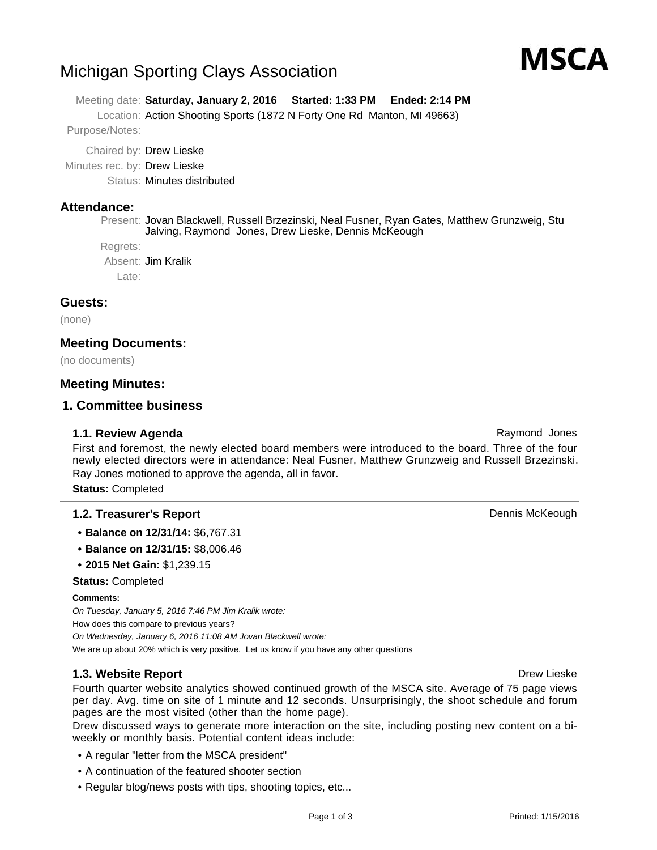# Michigan Sporting Clays Association

Meeting date: **Saturday, January 2, 2016 Started: 1:33 PM Ended: 2:14 PM**

Location: Action Shooting Sports (1872 N Forty One Rd Manton, MI 49663)

Purpose/Notes:

Chaired by: Drew Lieske

Minutes rec. by: Drew Lieske

Status: Minutes distributed

### **Attendance:**

Present: Jovan Blackwell, Russell Brzezinski, Neal Fusner, Ryan Gates, Matthew Grunzweig, Stu Jalving, Raymond Jones, Drew Lieske, Dennis McKeough

Regrets:

Absent: Jim Kralik

Late:

### **Guests:**

(none)

### **Meeting Documents:**

(no documents)

### **Meeting Minutes:**

### **1. Committee business**

#### **1.1. Review Agenda** Raymond Jones **Raymond Jones**

First and foremost, the newly elected board members were introduced to the board. Three of the four newly elected directors were in attendance: Neal Fusner, Matthew Grunzweig and Russell Brzezinski. Ray Jones motioned to approve the agenda, all in favor.

**Status:** Completed

### **1.2. Treasurer's Report Dennis McKeough Dennis McKeough**

- **• Balance on 12/31/14:** \$6,767.31
- **• Balance on 12/31/15:** \$8,006.46
- **• 2015 Net Gain:** \$1,239.15

**Status:** Completed

#### **Comments:**

On Tuesday, January 5, 2016 7:46 PM Jim Kralik wrote: How does this compare to previous years? On Wednesday, January 6, 2016 11:08 AM Jovan Blackwell wrote: We are up about 20% which is very positive. Let us know if you have any other questions

### **1.3. Website Report Drew Lieske Drew Lieske Drew Lieske Drew Lieske**

Fourth quarter website analytics showed continued growth of the MSCA site. Average of 75 page views per day. Avg. time on site of 1 minute and 12 seconds. Unsurprisingly, the shoot schedule and forum pages are the most visited (other than the home page).

Drew discussed ways to generate more interaction on the site, including posting new content on a biweekly or monthly basis. Potential content ideas include:

- A regular "letter from the MSCA president"
- A continuation of the featured shooter section
- Regular blog/news posts with tips, shooting topics, etc...

# MSCA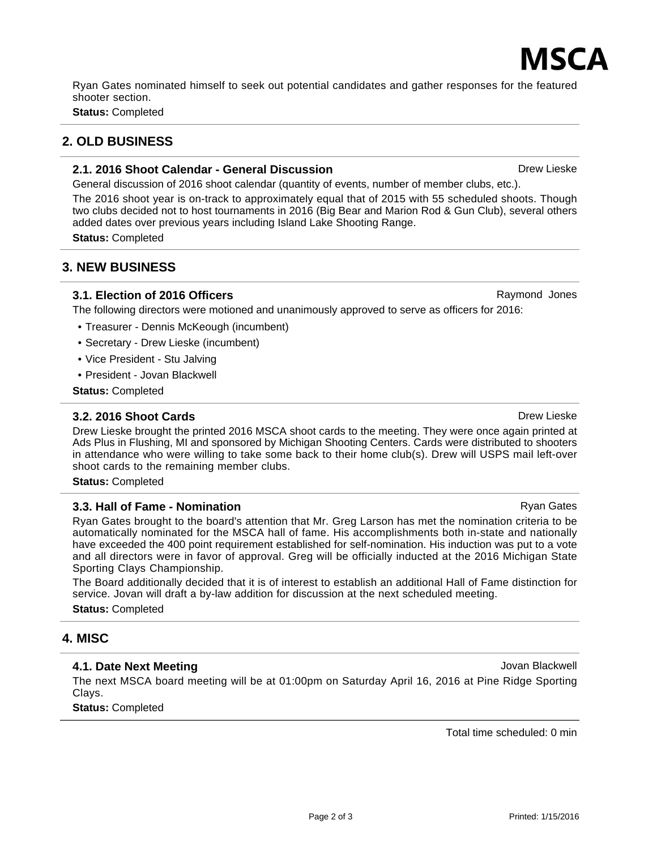# ИSCД Ryan Gates nominated himself to seek out potential candidates and gather responses for the featured

shooter section.

**Status:** Completed

# **2. OLD BUSINESS**

# **2.1. 2016 Shoot Calendar - General Discussion** Drew Lieske Drew Lieske

General discussion of 2016 shoot calendar (quantity of events, number of member clubs, etc.).

The 2016 shoot year is on-track to approximately equal that of 2015 with 55 scheduled shoots. Though two clubs decided not to host tournaments in 2016 (Big Bear and Marion Rod & Gun Club), several others added dates over previous years including Island Lake Shooting Range.

**Status:** Completed

# **3. NEW BUSINESS**

## **3.1. Election of 2016 Officers** Raymond Jones Raymond Jones

The following directors were motioned and unanimously approved to serve as officers for 2016:

- Treasurer Dennis McKeough (incumbent)
- Secretary Drew Lieske (incumbent)
- Vice President Stu Jalving
- President Jovan Blackwell

**Status:** Completed

# **3.2. 2016 Shoot Cards** Drew Lieske **Drew Lieske** Drew Lieske **Drew Lieske**

Drew Lieske brought the printed 2016 MSCA shoot cards to the meeting. They were once again printed at Ads Plus in Flushing, MI and sponsored by Michigan Shooting Centers. Cards were distributed to shooters in attendance who were willing to take some back to their home club(s). Drew will USPS mail left-over shoot cards to the remaining member clubs.

**Status:** Completed

# **3.3. Hall of Fame - Nomination** Research Research Ryan Gates Ryan Gates

Ryan Gates brought to the board's attention that Mr. Greg Larson has met the nomination criteria to be automatically nominated for the MSCA hall of fame. His accomplishments both in-state and nationally have exceeded the 400 point requirement established for self-nomination. His induction was put to a vote and all directors were in favor of approval. Greg will be officially inducted at the 2016 Michigan State Sporting Clays Championship.

The Board additionally decided that it is of interest to establish an additional Hall of Fame distinction for service. Jovan will draft a by-law addition for discussion at the next scheduled meeting.

**Status:** Completed

# **4. MISC**

## **4.1. Date Next Meeting Manual Community Community Community Community Community Community Community Community Community Community Community Community Community Community Community Community Community Community Community C**

The next MSCA board meeting will be at 01:00pm on Saturday April 16, 2016 at Pine Ridge Sporting Clays.

Page 2 of 3

**Status:** Completed

Total time scheduled: 0 min